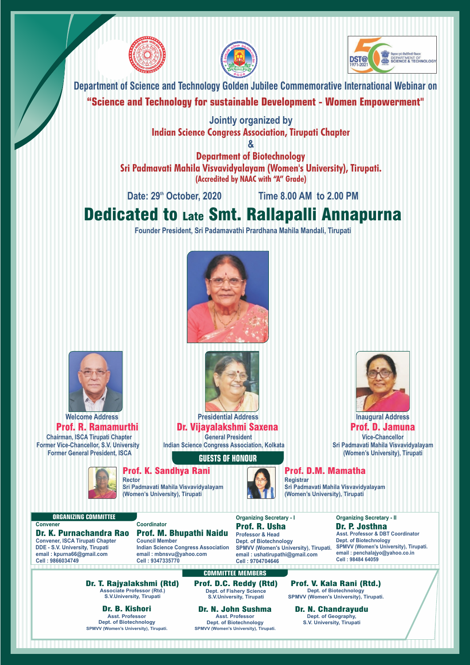





**Department of Science and Technology Golden Jubilee Commemorative International Webinar on**

#### **"Science and Technology for sustainable Development - Women Empowerment"**

**Jointly organized by Indian Science Congress Association, Tirupati Chapter**

**& Department of Biotechnology Sri Padmavati Mahila Visvavidyalayam (Women's University), Tirupati. (Accredited by NAAC with "A" Grade)**

**th Date: 29 October, 2020 Time 8.00 AM to 2.00 PM**

# Dedicated to Late Smt. Rallapalli Annapurna

**Founder President, Sri Padamavathi Prardhana Mahila Mandali, Tirupati**





**Welcome Address Chairman, ISCA Tirupati Chapter Former Vice-Chancellor, S.V. University** Prof. R. Ramamurthi **Former General President, ISCA**



**Presidential Address General President** Dr. Vijayalakshmi Saxena

**Indian Science Congress Association, Kolkata**

#### **GUESTS OF HONOUR**

**COMMITTEE MEMBERS**

Prof. D.C. Reddy (Rtd)

**Dept. of Biotechnology SPMVV (Women's University), Tirupati.**

#### Prof. K. Sandhya Rani

**Rector Sri Padmavati Mahila Visvavidyalayam (Women's University), Tirupati** 



Prof. D.M. Mamatha **Registrar**

**Sri Padmavati Mahila Visvavidyalayam (Women's University), Tirupati** 

#### **ORGANIZING COMMITTEE Convener**

**Convener, ISCA Tirupati Chapter DDE - S.V. University, Tirupati email : kpurna66@gmail.com Cell : 9866034749** Dr. K. Purnachandra Rao **Coordinator Council Member Indian Science Congress Association** Prof. M. Bhupathi Naidu

**email : mbnsvu@yahoo.com Cell : 9347335770**

Dr. T. Rajyalakshmi (Rtd) **Associate Professor (Rtd.) S.V.University, Tirupati**

Dr. B. Kishori **Asst. Professor Dept. of Biotechnology SPMVV (Women's University), Tirupati.**

Dr. N. John Sushma **Asst. Professor Dept. of Fishery Science S.V.University, Tirupati**

**Organizing Secretary - I**

**Professor & Head Dept. of Biotechnology SPMVV (Women's University), Tirupati. email : ushatirupathi@gmail.com Cell : 9704704646** Prof. R. Usha

**Organizing Secretary - II Asst. Professor & DBT Coordinator Dept. of Biotechnology SPMVV (Women's University), Tirupati. email : penchalajyo@yahoo.co.in Cell : 98484 64059** Dr. P. Josthna

**Inaugural Address**

**Vice-Chancellor Sri Padmavati Mahila Visvavidyalayam (Women's University), Tirupati** 

Prof. D. Jamuna

Prof. V. Kala Rani (Rtd.) **Dept. of Biotechnology SPMVV (Women's University), Tirupati.**

**Dept. of Geography,**

Dr. N. Chandrayudu **S.V. University, Tirupati**